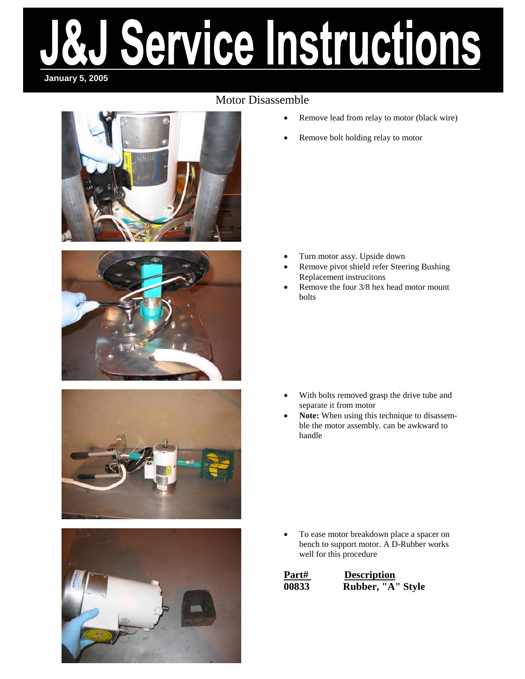### Motor Disassemble







- Remove lead from relay to motor (black wire)
- Remove bolt holding relay to motor

- Turn motor assy. Upside down
- Remove pivot shield refer Steering Bushing Replacement instrucitons
- Remove the four  $3/8$  hex head motor mount bolts

- With bolts removed grasp the drive tube and separate it from motor
- Note: When using this technique to disassemble the motor assembly. can be awkward to handle

• To ease motor breakdown place a spacer on bench to support motor. A D-Rubber works well for this procedure

| Part# | <b>Description</b> |
|-------|--------------------|
| 00833 | Rubber, "A" Style  |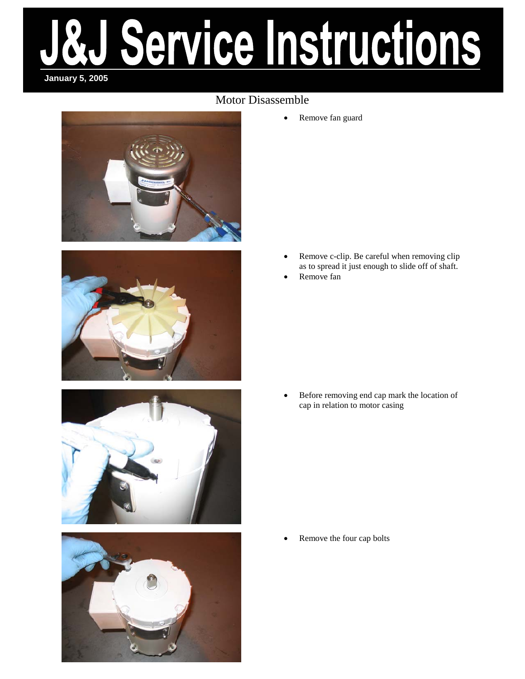#### Motor Disassemble









• Remove fan guard

- Remove c-clip. Be careful when removing clip as to spread it just enough to slide off of shaft.
- Remove fan

• Before removing end cap mark the location of cap in relation to motor casing

Remove the four cap bolts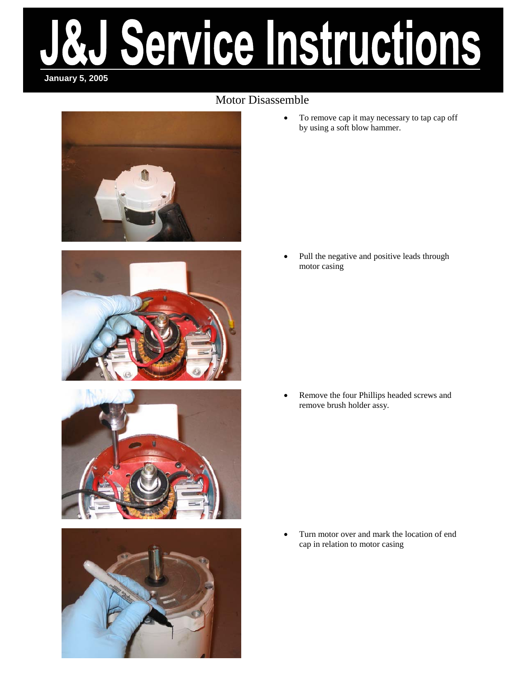### Motor Disassemble









• To remove cap it may necessary to tap cap off by using a soft blow hammer.

Pull the negative and positive leads through motor casing

• Remove the four Phillips headed screws and remove brush holder assy.

• Turn motor over and mark the location of end cap in relation to motor casing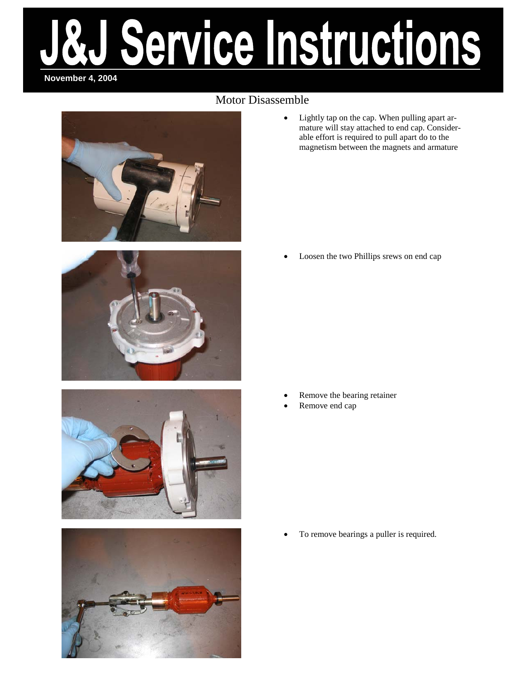# ervice Instructions **November 4, 2004**

### Motor Disassemble



• Lightly tap on the cap. When pulling apart armature will stay attached to end cap. Considerable effort is required to pull apart do to the magnetism between the magnets and armature





Loosen the two Phillips srews on end cap

- Remove the bearing retainer
- Remove end cap

• To remove bearings a puller is required.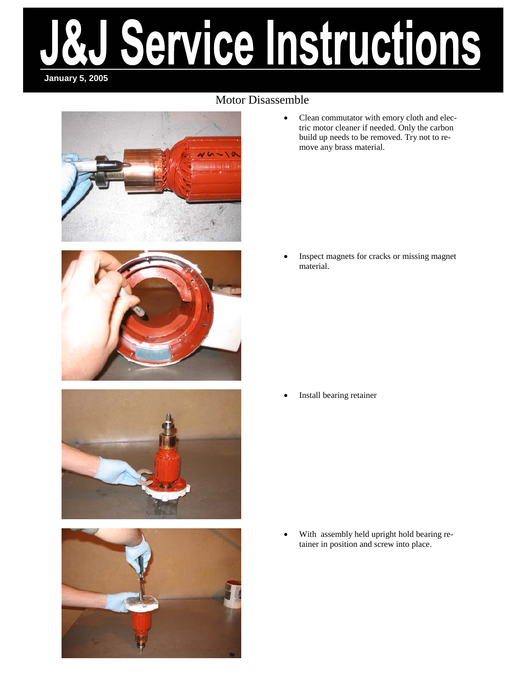### Motor Disassemble









• Clean commutator with emory cloth and electric motor cleaner if needed. Only the carbon build up needs to be removed. Try not to remove any brass material.

• Inspect magnets for cracks or missing magnet material.

Install bearing retainer

With assembly held upright hold bearing retainer in position and screw into place.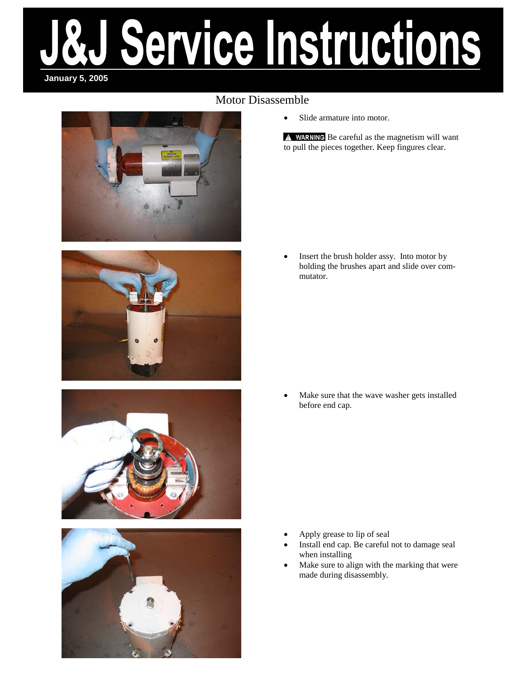### Motor Disassemble









• Slide armature into motor.

A WARNING Be careful as the magnetism will want to pull the pieces together. Keep fingures clear.

Insert the brush holder assy. Into motor by holding the brushes apart and slide over commutator.

• Make sure that the wave washer gets installed before end cap.

- Apply grease to lip of seal
- Install end cap. Be careful not to damage seal when installing
- Make sure to align with the marking that were made during disassembly.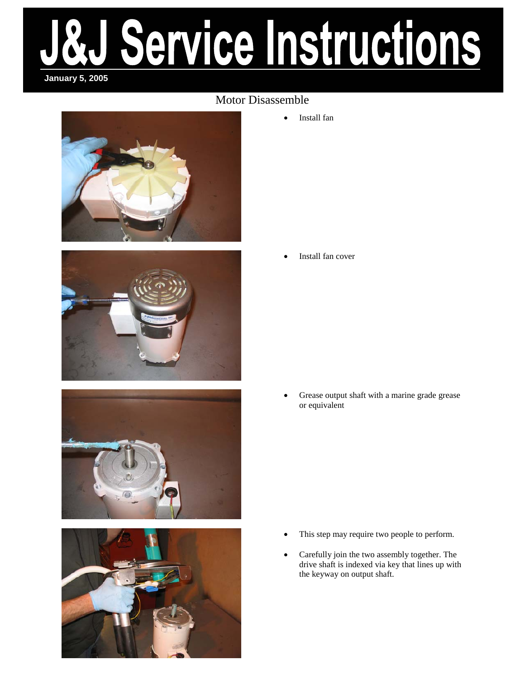### Motor Disassemble







• Install fan

Install fan cover

• Grease output shaft with a marine grade grease or equivalent

- This step may require two people to perform.
- Carefully join the two assembly together. The drive shaft is indexed via key that lines up with the keyway on output shaft.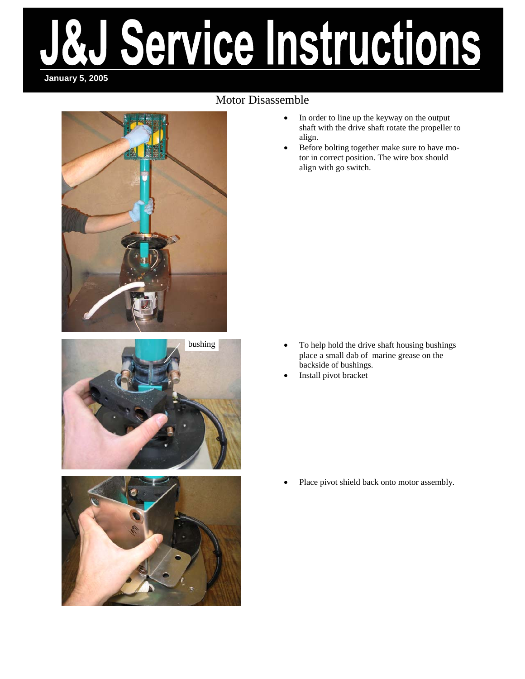### Motor Disassemble







- In order to line up the keyway on the output shaft with the drive shaft rotate the propeller to align.
- Before bolting together make sure to have motor in correct position. The wire box should align with go switch.

- To help hold the drive shaft housing bushings place a small dab of marine grease on the backside of bushings.
- Install pivot bracket

Place pivot shield back onto motor assembly.